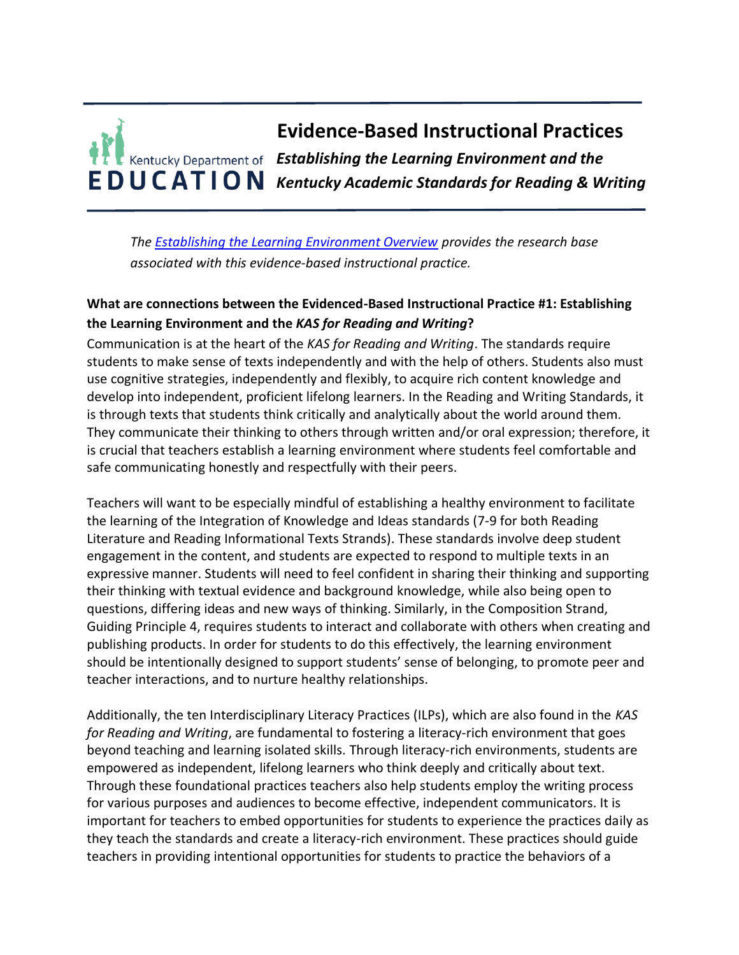# **Evidence-Based Instructional Practices** *Establishing the Learning Environment and the Kentucky Academic Standards for Reading & Writing*

*The [Establishing the Learning Environment Overview](https://education.ky.gov/curriculum/standards/kyacadstand/Documents/EBIP_1_Establishing_the_Learning_Environment.pdf) provides the research base associated with this evidence-based instructional practice.*

## **What are connections between the Evidenced-Based Instructional Practice #1: Establishing the Learning Environment and the** *KAS for Reading and Writing***?**

Communication is at the heart of the *KAS for Reading and Writing*. The standards require students to make sense of texts independently and with the help of others. Students also must use cognitive strategies, independently and flexibly, to acquire rich content knowledge and develop into independent, proficient lifelong learners. In the Reading and Writing Standards, it is through texts that students think critically and analytically about the world around them. They communicate their thinking to others through written and/or oral expression; therefore, it is crucial that teachers establish a learning environment where students feel comfortable and safe communicating honestly and respectfully with their peers.

Teachers will want to be especially mindful of establishing a healthy environment to facilitate the learning of the Integration of Knowledge and Ideas standards (7-9 for both Reading Literature and Reading Informational Texts Strands). These standards involve deep student engagement in the content, and students are expected to respond to multiple texts in an expressive manner. Students will need to feel confident in sharing their thinking and supporting their thinking with textual evidence and background knowledge, while also being open to questions, differing ideas and new ways of thinking. Similarly, in the Composition Strand, Guiding Principle 4, requires students to interact and collaborate with others when creating and publishing products. In order for students to do this effectively, the learning environment should be intentionally designed to support students' sense of belonging, to promote peer and teacher interactions, and to nurture healthy relationships.

Additionally, the ten Interdisciplinary Literacy Practices (ILPs), which are also found in the *KAS for Reading and Writing*, are fundamental to fostering a literacy-rich environment that goes beyond teaching and learning isolated skills. Through literacy-rich environments, students are empowered as independent, lifelong learners who think deeply and critically about text. Through these foundational practices teachers also help students employ the writing process for various purposes and audiences to become effective, independent communicators. It is important for teachers to embed opportunities for students to experience the practices daily as they teach the standards and create a literacy-rich environment. These practices should guide teachers in providing intentional opportunities for students to practice the behaviors of a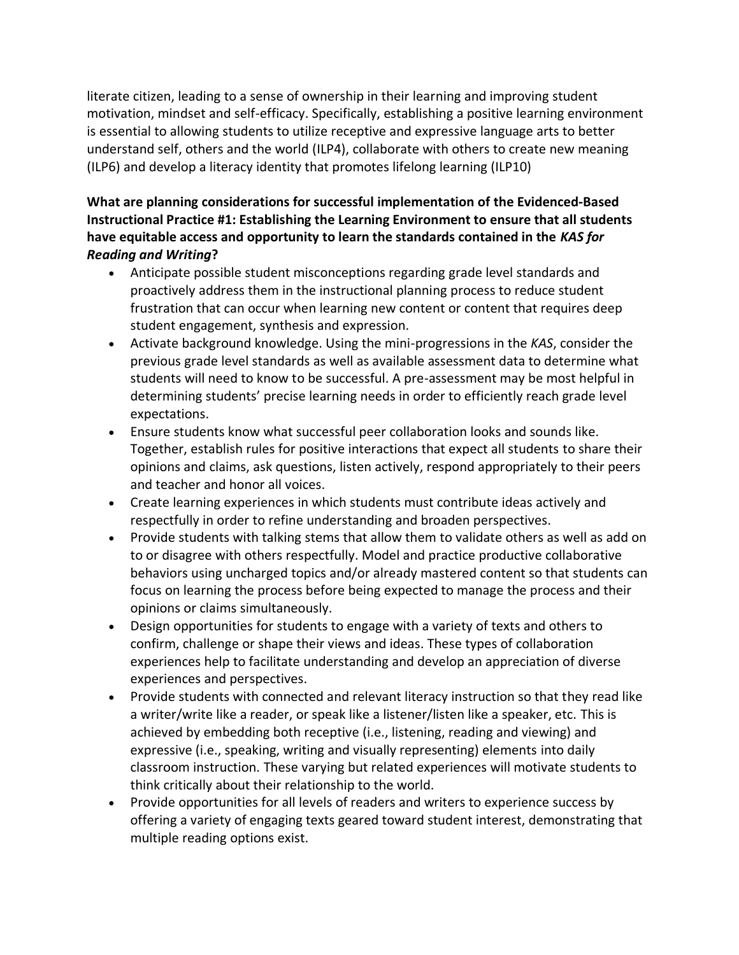literate citizen, leading to a sense of ownership in their learning and improving student motivation, mindset and self-efficacy. Specifically, establishing a positive learning environment is essential to allowing students to utilize receptive and expressive language arts to better understand self, others and the world (ILP4), collaborate with others to create new meaning (ILP6) and develop a literacy identity that promotes lifelong learning (ILP10)

## **What are planning considerations for successful implementation of the Evidenced-Based Instructional Practice #1: Establishing the Learning Environment to ensure that all students have equitable access and opportunity to learn the standards contained in the** *KAS for Reading and Writing***?**

- Anticipate possible student misconceptions regarding grade level standards and proactively address them in the instructional planning process to reduce student frustration that can occur when learning new content or content that requires deep student engagement, synthesis and expression.
- Activate background knowledge. Using the mini-progressions in the *KAS*, consider the previous grade level standards as well as available assessment data to determine what students will need to know to be successful. A pre-assessment may be most helpful in determining students' precise learning needs in order to efficiently reach grade level expectations.
- Ensure students know what successful peer collaboration looks and sounds like. Together, establish rules for positive interactions that expect all students to share their opinions and claims, ask questions, listen actively, respond appropriately to their peers and teacher and honor all voices.
- Create learning experiences in which students must contribute ideas actively and respectfully in order to refine understanding and broaden perspectives.
- Provide students with talking stems that allow them to validate others as well as add on to or disagree with others respectfully. Model and practice productive collaborative behaviors using uncharged topics and/or already mastered content so that students can focus on learning the process before being expected to manage the process and their opinions or claims simultaneously.
- Design opportunities for students to engage with a variety of texts and others to confirm, challenge or shape their views and ideas. These types of collaboration experiences help to facilitate understanding and develop an appreciation of diverse experiences and perspectives.
- Provide students with connected and relevant literacy instruction so that they read like a writer/write like a reader, or speak like a listener/listen like a speaker, etc. This is achieved by embedding both receptive (i.e., listening, reading and viewing) and expressive (i.e., speaking, writing and visually representing) elements into daily classroom instruction. These varying but related experiences will motivate students to think critically about their relationship to the world.
- Provide opportunities for all levels of readers and writers to experience success by offering a variety of engaging texts geared toward student interest, demonstrating that multiple reading options exist.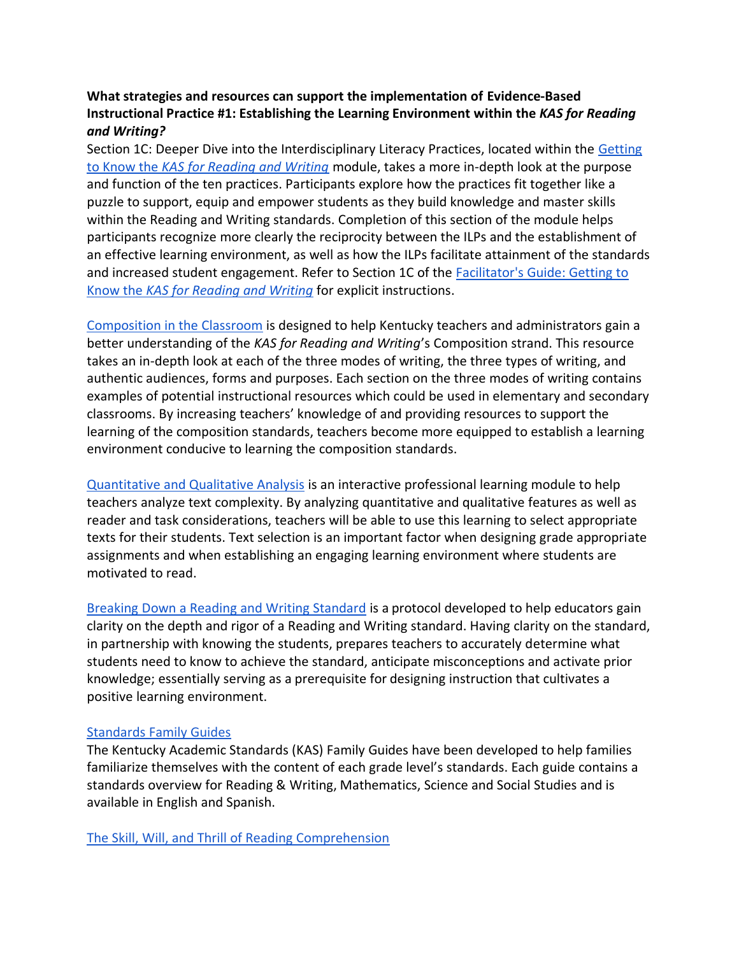### **What strategies and resources can support the implementation of Evidence-Based Instructional Practice #1: Establishing the Learning Environment within the** *KAS for Reading and Writing?*

Section 1C: Deeper Dive into the Interdisciplinary Literacy Practices, located within the [Getting](https://kystandards.org/wp-content/uploads/2019/06/Getting_to_Know_the_KAS_for_Reading_and_Writing.pptx)  to Know the *[KAS for Reading and Writing](https://kystandards.org/wp-content/uploads/2019/06/Getting_to_Know_the_KAS_for_Reading_and_Writing.pptx)* module, takes a more in-depth look at the purpose and function of the ten practices. Participants explore how the practices fit together like a puzzle to support, equip and empower students as they build knowledge and master skills within the Reading and Writing standards. Completion of this section of the module helps participants recognize more clearly the reciprocity between the ILPs and the establishment of an effective learning environment, as well as how the ILPs facilitate attainment of the standards and increased student engagement. Refer to Section 1C of the [Facilitator's Guide: Getting to](https://kystandards.org/wp-content/uploads/2019/06/Facilitators_Guide_Getting_to_Know_the_KAS_for_Reading_and_Writing.pdf)  Know the *[KAS for Reading and Writing](https://kystandards.org/wp-content/uploads/2019/06/Facilitators_Guide_Getting_to_Know_the_KAS_for_Reading_and_Writing.pdf)* for explicit instructions.

[Composition in the Classroom](https://education.ky.gov/curriculum/standards/kyacadstand/Documents/Composition_in_the_Classroom.pdf) is designed to help Kentucky teachers and administrators gain a better understanding of the *KAS for Reading and Writing*'s Composition strand. This resource takes an in-depth look at each of the three modes of writing, the three types of writing, and authentic audiences, forms and purposes. Each section on the three modes of writing contains examples of potential instructional resources which could be used in elementary and secondary classrooms. By increasing teachers' knowledge of and providing resources to support the learning of the composition standards, teachers become more equipped to establish a learning environment conducive to learning the composition standards.

[Quantitative and Qualitative Analysis](https://kystandards.org/standards-resources/rw-resources/rw-pl-modules/quant_qual_analysis/) is an interactive professional learning module to help teachers analyze text complexity. By analyzing quantitative and qualitative features as well as reader and task considerations, teachers will be able to use this learning to select appropriate texts for their students. Text selection is an important factor when designing grade appropriate assignments and when establishing an engaging learning environment where students are motivated to read.

[Breaking Down a Reading and Writing Standard](https://education.ky.gov/curriculum/standards/kyacadstand/Documents/Breaking_Down_a_Reading_and_Writing_Standard.pdf) is a protocol developed to help educators gain clarity on the depth and rigor of a Reading and Writing standard. Having clarity on the standard, in partnership with knowing the students, prepares teachers to accurately determine what students need to know to achieve the standard, anticipate misconceptions and activate prior knowledge; essentially serving as a prerequisite for designing instruction that cultivates a positive learning environment.

#### [Standards Family Guides](https://kystandards.org/standards-family-guides/)

The Kentucky Academic Standards (KAS) Family Guides have been developed to help families familiarize themselves with the content of each grade level's standards. Each guide contains a standards overview for Reading & Writing, Mathematics, Science and Social Studies and is available in English and Spanish.

[The Skill, Will, and Thrill of Reading Comprehension](https://www.ascd.org/el/articles/the-skill-will-and-thrill-of-reading-comprehension)